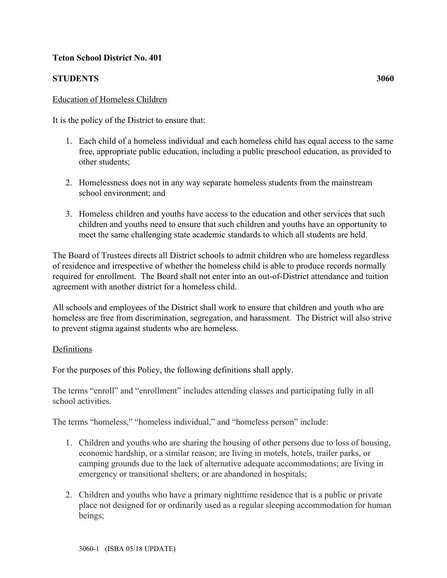# **Teton School District No. 401**

# **STUDENTS 3060**

### Education of Homeless Children

It is the policy of the District to ensure that:

- 1. Each child of a homeless individual and each homeless child has equal access to the same free, appropriate public education, including a public preschool education, as provided to other students;
- 2. Homelessness does not in any way separate homeless students from the mainstream school environment; and
- 3. Homeless children and youths have access to the education and other services that such children and youths need to ensure that such children and youths have an opportunity to meet the same challenging state academic standards to which all students are held.

The Board of Trustees directs all District schools to admit children who are homeless regardless of residence and irrespective of whether the homeless child is able to produce records normally required for enrollment. The Board shall not enter into an out-of-District attendance and tuition agreement with another district for a homeless child.

All schools and employees of the District shall work to ensure that children and youth who are homeless are free from discrimination, segregation, and harassment. The District will also strive to prevent stigma against students who are homeless.

### Definitions

For the purposes of this Policy, the following definitions shall apply.

The terms "enroll" and "enrollment" includes attending classes and participating fully in all school activities.

The terms "homeless," "homeless individual," and "homeless person" include:

- 1. Children and youths who are sharing the housing of other persons due to loss of housing, economic hardship, or a similar reason; are living in motels, hotels, trailer parks, or camping grounds due to the lack of alternative adequate accommodations; are living in emergency or transitional shelters; or are abandoned in hospitals;
- 2. Children and youths who have a primary nighttime residence that is a public or private place not designed for or ordinarily used as a regular sleeping accommodation for human beings;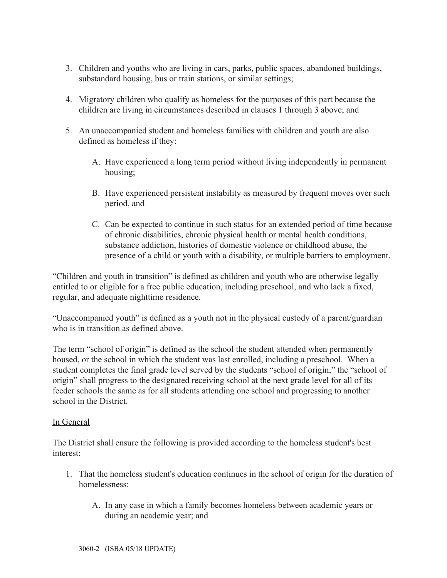- 3. Children and youths who are living in cars, parks, public spaces, abandoned buildings, substandard housing, bus or train stations, or similar settings;
- 4. Migratory children who qualify as homeless for the purposes of this part because the children are living in circumstances described in clauses 1 through 3 above; and
- 5. An unaccompanied student and homeless families with children and youth are also defined as homeless if they:
	- A. Have experienced a long term period without living independently in permanent housing;
	- B. Have experienced persistent instability as measured by frequent moves over such period, and
	- C. Can be expected to continue in such status for an extended period of time because of chronic disabilities, chronic physical health or mental health conditions, substance addiction, histories of domestic violence or childhood abuse, the presence of a child or youth with a disability, or multiple barriers to employment.

"Children and youth in transition" is defined as children and youth who are otherwise legally entitled to or eligible for a free public education, including preschool, and who lack a fixed, regular, and adequate nighttime residence.

"Unaccompanied youth" is defined as a youth not in the physical custody of a parent/guardian who is in transition as defined above.

The term "school of origin" is defined as the school the student attended when permanently housed, or the school in which the student was last enrolled, including a preschool. When a student completes the final grade level served by the students "school of origin;" the "school of origin" shall progress to the designated receiving school at the next grade level for all of its feeder schools the same as for all students attending one school and progressing to another school in the District.

# In General

The District shall ensure the following is provided according to the homeless student's best interest:

- 1. That the homeless student's education continues in the school of origin for the duration of homelessness:
	- A. In any case in which a family becomes homeless between academic years or during an academic year; and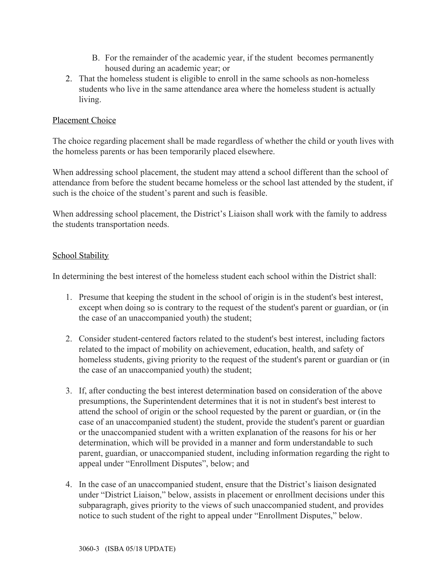- B. For the remainder of the academic year, if the student becomes permanently housed during an academic year; or
- 2. That the homeless student is eligible to enroll in the same schools as non-homeless students who live in the same attendance area where the homeless student is actually living.

# Placement Choice

The choice regarding placement shall be made regardless of whether the child or youth lives with the homeless parents or has been temporarily placed elsewhere.

When addressing school placement, the student may attend a school different than the school of attendance from before the student became homeless or the school last attended by the student, if such is the choice of the student's parent and such is feasible.

When addressing school placement, the District's Liaison shall work with the family to address the students transportation needs.

### School Stability

In determining the best interest of the homeless student each school within the District shall:

- 1. Presume that keeping the student in the school of origin is in the student's best interest, except when doing so is contrary to the request of the student's parent or guardian, or (in the case of an unaccompanied youth) the student;
- 2. Consider student-centered factors related to the student's best interest, including factors related to the impact of mobility on achievement, education, health, and safety of homeless students, giving priority to the request of the student's parent or guardian or (in the case of an unaccompanied youth) the student;
- 3. If, after conducting the best interest determination based on consideration of the above presumptions, the Superintendent determines that it is not in student's best interest to attend the school of origin or the school requested by the parent or guardian, or (in the case of an unaccompanied student) the student, provide the student's parent or guardian or the unaccompanied student with a written explanation of the reasons for his or her determination, which will be provided in a manner and form understandable to such parent, guardian, or unaccompanied student, including information regarding the right to appeal under "Enrollment Disputes", below; and
- 4. In the case of an unaccompanied student, ensure that the District's liaison designated under "District Liaison," below, assists in placement or enrollment decisions under this subparagraph, gives priority to the views of such unaccompanied student, and provides notice to such student of the right to appeal under "Enrollment Disputes," below.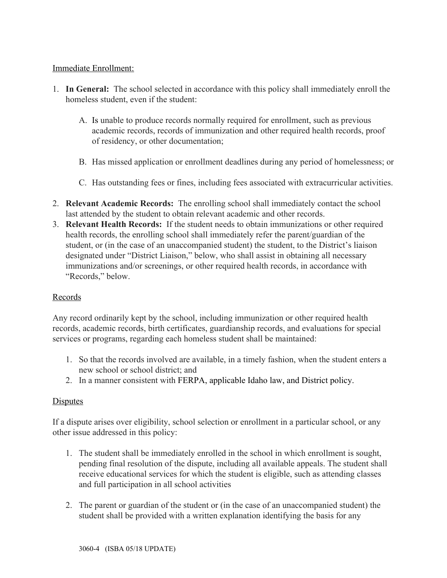# Immediate Enrollment:

- 1. **In General:** The school selected in accordance with this policy shall immediately enroll the homeless student, even if the student:
	- A. Is unable to produce records normally required for enrollment, such as previous academic records, records of immunization and other required health records, proof of residency, or other documentation;
	- B. Has missed application or enrollment deadlines during any period of homelessness; or
	- C. Has outstanding fees or fines, including fees associated with extracurricular activities.
- 2. **Relevant Academic Records:** The enrolling school shall immediately contact the school last attended by the student to obtain relevant academic and other records.
- 3. **Relevant Health Records:** If the student needs to obtain immunizations or other required health records, the enrolling school shall immediately refer the parent/guardian of the student, or (in the case of an unaccompanied student) the student, to the District's liaison designated under "District Liaison," below, who shall assist in obtaining all necessary immunizations and/or screenings, or other required health records, in accordance with "Records," below.

# Records

Any record ordinarily kept by the school, including immunization or other required health records, academic records, birth certificates, guardianship records, and evaluations for special services or programs, regarding each homeless student shall be maintained:

- 1. So that the records involved are available, in a timely fashion, when the student enters a new school or school district; and
- 2. In a manner consistent with FERPA, applicable Idaho law, and District policy.

# **Disputes**

If a dispute arises over eligibility, school selection or enrollment in a particular school, or any other issue addressed in this policy:

- 1. The student shall be immediately enrolled in the school in which enrollment is sought, pending final resolution of the dispute, including all available appeals. The student shall receive educational services for which the student is eligible, such as attending classes and full participation in all school activities
- 2. The parent or guardian of the student or (in the case of an unaccompanied student) the student shall be provided with a written explanation identifying the basis for any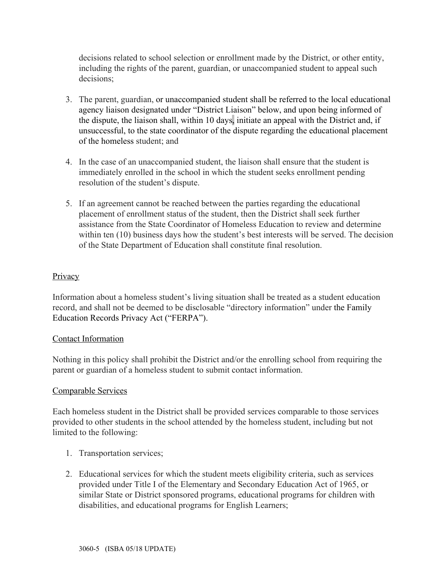decisions related to school selection or enrollment made by the District, or other entity, including the rights of the parent, guardian, or unaccompanied student to appeal such decisions;

- 3. The parent, guardian, or unaccompanied student shall be referred to the local educational agency liaison designated under "District Liaison" below, and upon being informed of the dispute, the liaison shall, within 10 days, initiate an appeal with the District and, if unsuccessful, to the state coordinator of the dispute regarding the educational placement of the homeless student; and
- 4. In the case of an unaccompanied student, the liaison shall ensure that the student is immediately enrolled in the school in which the student seeks enrollment pending resolution of the student's dispute.
- 5. If an agreement cannot be reached between the parties regarding the educational placement of enrollment status of the student, then the District shall seek further assistance from the State Coordinator of Homeless Education to review and determine within ten (10) business days how the student's best interests will be served. The decision of the State Department of Education shall constitute final resolution.

### **Privacy**

Information about a homeless student's living situation shall be treated as a student education record, and shall not be deemed to be disclosable "directory information" under the Family Education Records Privacy Act ("FERPA").

### Contact Information

Nothing in this policy shall prohibit the District and/or the enrolling school from requiring the parent or guardian of a homeless student to submit contact information.

### Comparable Services

Each homeless student in the District shall be provided services comparable to those services provided to other students in the school attended by the homeless student, including but not limited to the following:

- 1. Transportation services;
- 2. Educational services for which the student meets eligibility criteria, such as services provided under Title I of the Elementary and Secondary Education Act of 1965, or similar State or District sponsored programs, educational programs for children with disabilities, and educational programs for English Learners;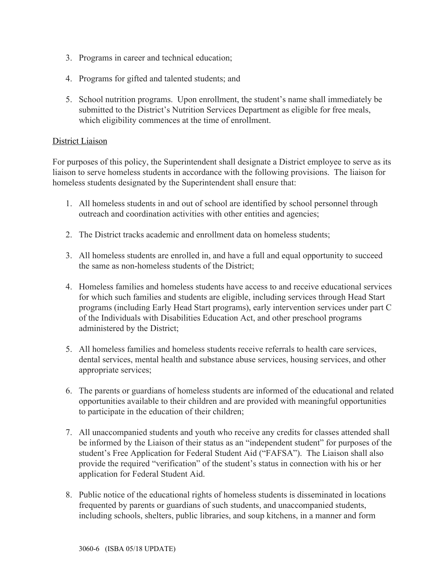- 3. Programs in career and technical education;
- 4. Programs for gifted and talented students; and
- 5. School nutrition programs. Upon enrollment, the student's name shall immediately be submitted to the District's Nutrition Services Department as eligible for free meals, which eligibility commences at the time of enrollment.

# District Liaison

For purposes of this policy, the Superintendent shall designate a District employee to serve as its liaison to serve homeless students in accordance with the following provisions. The liaison for homeless students designated by the Superintendent shall ensure that:

- 1. All homeless students in and out of school are identified by school personnel through outreach and coordination activities with other entities and agencies;
- 2. The District tracks academic and enrollment data on homeless students;
- 3. All homeless students are enrolled in, and have a full and equal opportunity to succeed the same as non-homeless students of the District;
- 4. Homeless families and homeless students have access to and receive educational services for which such families and students are eligible, including services through Head Start programs (including Early Head Start programs), early intervention services under part C of the Individuals with Disabilities Education Act, and other preschool programs administered by the District;
- 5. All homeless families and homeless students receive referrals to health care services, dental services, mental health and substance abuse services, housing services, and other appropriate services;
- 6. The parents or guardians of homeless students are informed of the educational and related opportunities available to their children and are provided with meaningful opportunities to participate in the education of their children;
- 7. All unaccompanied students and youth who receive any credits for classes attended shall be informed by the Liaison of their status as an "independent student" for purposes of the student's Free Application for Federal Student Aid ("FAFSA"). The Liaison shall also provide the required "verification" of the student's status in connection with his or her application for Federal Student Aid.
- 8. Public notice of the educational rights of homeless students is disseminated in locations frequented by parents or guardians of such students, and unaccompanied students, including schools, shelters, public libraries, and soup kitchens, in a manner and form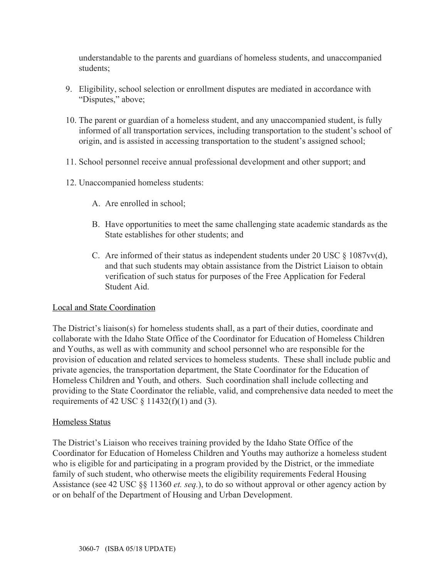understandable to the parents and guardians of homeless students, and unaccompanied students;

- 9. Eligibility, school selection or enrollment disputes are mediated in accordance with "Disputes," above;
- 10. The parent or guardian of a homeless student, and any unaccompanied student, is fully informed of all transportation services, including transportation to the student's school of origin, and is assisted in accessing transportation to the student's assigned school;
- 11. School personnel receive annual professional development and other support; and
- 12. Unaccompanied homeless students:
	- A. Are enrolled in school;
	- B. Have opportunities to meet the same challenging state academic standards as the State establishes for other students; and
	- C. Are informed of their status as independent students under 20 USC  $\S$  1087vv(d), and that such students may obtain assistance from the District Liaison to obtain verification of such status for purposes of the Free Application for Federal Student Aid.

### Local and State Coordination

The District's liaison(s) for homeless students shall, as a part of their duties, coordinate and collaborate with the Idaho State Office of the Coordinator for Education of Homeless Children and Youths, as well as with community and school personnel who are responsible for the provision of education and related services to homeless students. These shall include public and private agencies, the transportation department, the State Coordinator for the Education of Homeless Children and Youth, and others. Such coordination shall include collecting and providing to the State Coordinator the reliable, valid, and comprehensive data needed to meet the requirements of 42 USC  $\S$  11432(f)(1) and (3).

### Homeless Status

The District's Liaison who receives training provided by the Idaho State Office of the Coordinator for Education of Homeless Children and Youths may authorize a homeless student who is eligible for and participating in a program provided by the District, or the immediate family of such student, who otherwise meets the eligibility requirements Federal Housing Assistance (see 42 USC §§ 11360 *et. seq.*), to do so without approval or other agency action by or on behalf of the Department of Housing and Urban Development.